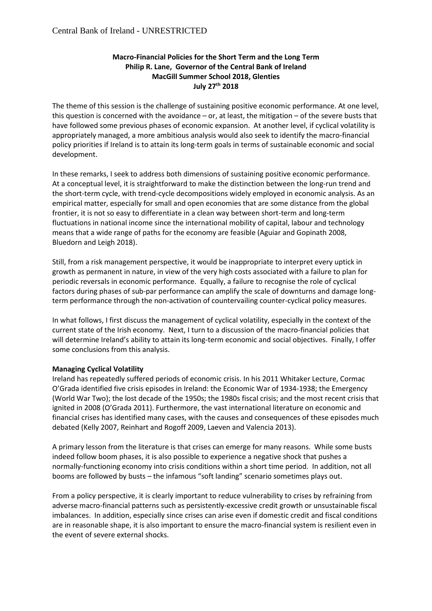## **Macro-Financial Policies for the Short Term and the Long Term Philip R. Lane, Governor of the Central Bank of Ireland MacGill Summer School 2018, Glenties July 27th 2018**

The theme of this session is the challenge of sustaining positive economic performance. At one level, this question is concerned with the avoidance – or, at least, the mitigation – of the severe busts that have followed some previous phases of economic expansion. At another level, if cyclical volatility is appropriately managed, a more ambitious analysis would also seek to identify the macro-financial policy priorities if Ireland is to attain its long-term goals in terms of sustainable economic and social development.

In these remarks, I seek to address both dimensions of sustaining positive economic performance. At a conceptual level, it is straightforward to make the distinction between the long-run trend and the short-term cycle, with trend-cycle decompositions widely employed in economic analysis. As an empirical matter, especially for small and open economies that are some distance from the global frontier, it is not so easy to differentiate in a clean way between short-term and long-term fluctuations in national income since the international mobility of capital, labour and technology means that a wide range of paths for the economy are feasible (Aguiar and Gopinath 2008, Bluedorn and Leigh 2018).

Still, from a risk management perspective, it would be inappropriate to interpret every uptick in growth as permanent in nature, in view of the very high costs associated with a failure to plan for periodic reversals in economic performance. Equally, a failure to recognise the role of cyclical factors during phases of sub-par performance can amplify the scale of downturns and damage longterm performance through the non-activation of countervailing counter-cyclical policy measures.

In what follows, I first discuss the management of cyclical volatility, especially in the context of the current state of the Irish economy. Next, I turn to a discussion of the macro-financial policies that will determine Ireland's ability to attain its long-term economic and social objectives. Finally, I offer some conclusions from this analysis.

## **Managing Cyclical Volatility**

Ireland has repeatedly suffered periods of economic crisis. In his 2011 Whitaker Lecture, Cormac O'Grada identified five crisis episodes in Ireland: the Economic War of 1934-1938; the Emergency (World War Two); the lost decade of the 1950s; the 1980s fiscal crisis; and the most recent crisis that ignited in 2008 (O'Grada 2011). Furthermore, the vast international literature on economic and financial crises has identified many cases, with the causes and consequences of these episodes much debated (Kelly 2007, Reinhart and Rogoff 2009, Laeven and Valencia 2013).

A primary lesson from the literature is that crises can emerge for many reasons. While some busts indeed follow boom phases, it is also possible to experience a negative shock that pushes a normally-functioning economy into crisis conditions within a short time period. In addition, not all booms are followed by busts – the infamous "soft landing" scenario sometimes plays out.

From a policy perspective, it is clearly important to reduce vulnerability to crises by refraining from adverse macro-financial patterns such as persistently-excessive credit growth or unsustainable fiscal imbalances. In addition, especially since crises can arise even if domestic credit and fiscal conditions are in reasonable shape, it is also important to ensure the macro-financial system is resilient even in the event of severe external shocks.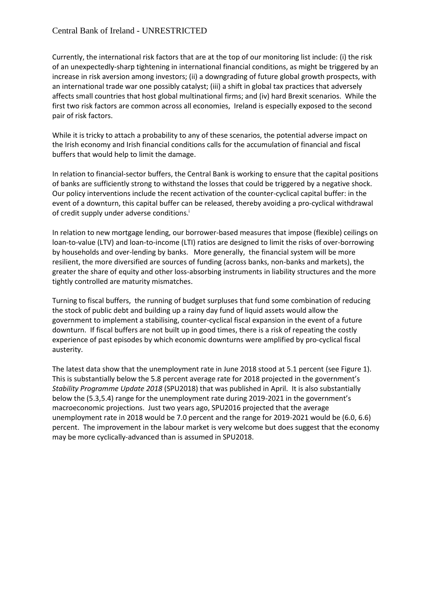Currently, the international risk factors that are at the top of our monitoring list include: (i) the risk of an unexpectedly-sharp tightening in international financial conditions, as might be triggered by an increase in risk aversion among investors; (ii) a downgrading of future global growth prospects, with an international trade war one possibly catalyst; (iii) a shift in global tax practices that adversely affects small countries that host global multinational firms; and (iv) hard Brexit scenarios. While the first two risk factors are common across all economies, Ireland is especially exposed to the second pair of risk factors.

While it is tricky to attach a probability to any of these scenarios, the potential adverse impact on the Irish economy and Irish financial conditions calls for the accumulation of financial and fiscal buffers that would help to limit the damage.

In relation to financial-sector buffers, the Central Bank is working to ensure that the capital positions of banks are sufficiently strong to withstand the losses that could be triggered by a negative shock. Our policy interventions include the recent activation of the counter-cyclical capital buffer: in the event of a downturn, this capital buffer can be released, thereby avoiding a pro-cyclical withdrawal of credit supply under adverse conditions.

In relation to new mortgage lending, our borrower-based measures that impose (flexible) ceilings on loan-to-value (LTV) and loan-to-income (LTI) ratios are designed to limit the risks of over-borrowing by households and over-lending by banks. More generally, the financial system will be more resilient, the more diversified are sources of funding (across banks, non-banks and markets), the greater the share of equity and other loss-absorbing instruments in liability structures and the more tightly controlled are maturity mismatches.

Turning to fiscal buffers, the running of budget surpluses that fund some combination of reducing the stock of public debt and building up a rainy day fund of liquid assets would allow the government to implement a stabilising, counter-cyclical fiscal expansion in the event of a future downturn. If fiscal buffers are not built up in good times, there is a risk of repeating the costly experience of past episodes by which economic downturns were amplified by pro-cyclical fiscal austerity.

The latest data show that the unemployment rate in June 2018 stood at 5.1 percent (see Figure 1). This is substantially below the 5.8 percent average rate for 2018 projected in the government's *Stability Programme Update 2018* (SPU2018) that was published in April. It is also substantially below the (5.3,5.4) range for the unemployment rate during 2019-2021 in the government's macroeconomic projections. Just two years ago, SPU2016 projected that the average unemployment rate in 2018 would be 7.0 percent and the range for 2019-2021 would be (6.0, 6.6) percent. The improvement in the labour market is very welcome but does suggest that the economy may be more cyclically-advanced than is assumed in SPU2018.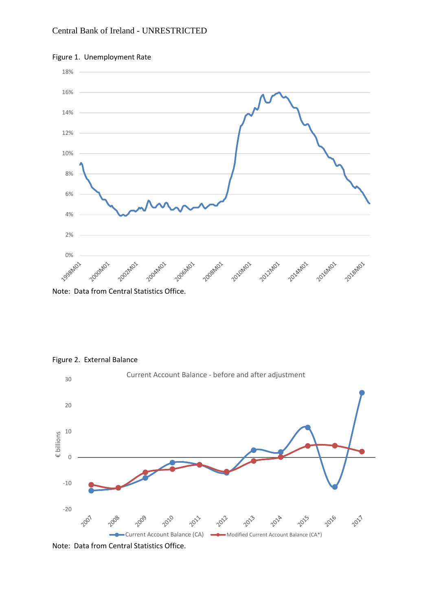

#### Figure 1. Unemployment Rate

Note: Data from Central Statistics Office.

#### Figure 2. External Balance



Note: Data from Central Statistics Office.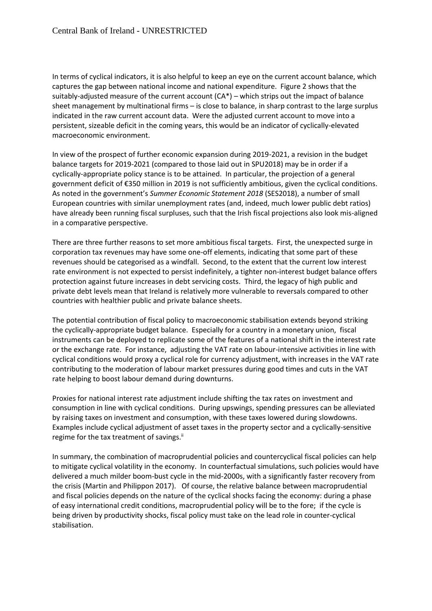In terms of cyclical indicators, it is also helpful to keep an eye on the current account balance, which captures the gap between national income and national expenditure. Figure 2 shows that the suitably-adjusted measure of the current account (CA\*) – which strips out the impact of balance sheet management by multinational firms – is close to balance, in sharp contrast to the large surplus indicated in the raw current account data. Were the adjusted current account to move into a persistent, sizeable deficit in the coming years, this would be an indicator of cyclically-elevated macroeconomic environment.

In view of the prospect of further economic expansion during 2019-2021, a revision in the budget balance targets for 2019-2021 (compared to those laid out in SPU2018) may be in order if a cyclically-appropriate policy stance is to be attained. In particular, the projection of a general government deficit of €350 million in 2019 is not sufficiently ambitious, given the cyclical conditions. As noted in the government's *Summer Economic Statement 2018* (SES2018), a number of small European countries with similar unemployment rates (and, indeed, much lower public debt ratios) have already been running fiscal surpluses, such that the Irish fiscal projections also look mis-aligned in a comparative perspective.

There are three further reasons to set more ambitious fiscal targets. First, the unexpected surge in corporation tax revenues may have some one-off elements, indicating that some part of these revenues should be categorised as a windfall. Second, to the extent that the current low interest rate environment is not expected to persist indefinitely, a tighter non-interest budget balance offers protection against future increases in debt servicing costs. Third, the legacy of high public and private debt levels mean that Ireland is relatively more vulnerable to reversals compared to other countries with healthier public and private balance sheets.

The potential contribution of fiscal policy to macroeconomic stabilisation extends beyond striking the cyclically-appropriate budget balance. Especially for a country in a monetary union, fiscal instruments can be deployed to replicate some of the features of a national shift in the interest rate or the exchange rate. For instance, adjusting the VAT rate on labour-intensive activities in line with cyclical conditions would proxy a cyclical role for currency adjustment, with increases in the VAT rate contributing to the moderation of labour market pressures during good times and cuts in the VAT rate helping to boost labour demand during downturns.

Proxies for national interest rate adjustment include shifting the tax rates on investment and consumption in line with cyclical conditions. During upswings, spending pressures can be alleviated by raising taxes on investment and consumption, with these taxes lowered during slowdowns. Examples include cyclical adjustment of asset taxes in the property sector and a cyclically-sensitive regime for the tax treatment of savings. $\mathbf{u}$ 

In summary, the combination of macroprudential policies and countercyclical fiscal policies can help to mitigate cyclical volatility in the economy. In counterfactual simulations, such policies would have delivered a much milder boom-bust cycle in the mid-2000s, with a significantly faster recovery from the crisis (Martin and Philippon 2017). Of course, the relative balance between macroprudential and fiscal policies depends on the nature of the cyclical shocks facing the economy: during a phase of easy international credit conditions, macroprudential policy will be to the fore; if the cycle is being driven by productivity shocks, fiscal policy must take on the lead role in counter-cyclical stabilisation.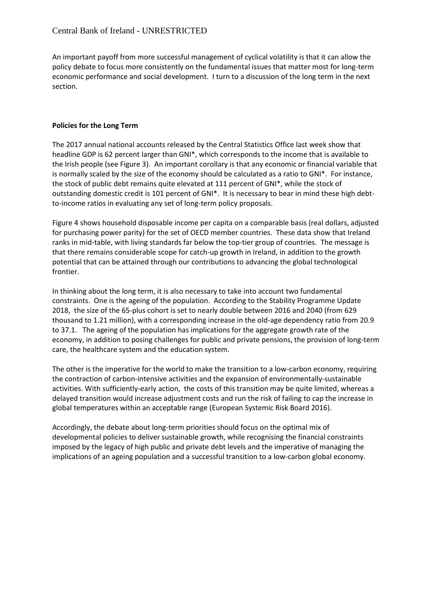An important payoff from more successful management of cyclical volatility is that it can allow the policy debate to focus more consistently on the fundamental issues that matter most for long-term economic performance and social development. I turn to a discussion of the long term in the next section.

## **Policies for the Long Term**

The 2017 annual national accounts released by the Central Statistics Office last week show that headline GDP is 62 percent larger than GNI\*, which corresponds to the income that is available to the Irish people (see Figure 3). An important corollary is that any economic or financial variable that is normally scaled by the size of the economy should be calculated as a ratio to GNI\*. For instance, the stock of public debt remains quite elevated at 111 percent of GNI\*, while the stock of outstanding domestic credit is 101 percent of GNI\*. It is necessary to bear in mind these high debtto-income ratios in evaluating any set of long-term policy proposals.

Figure 4 shows household disposable income per capita on a comparable basis (real dollars, adjusted for purchasing power parity) for the set of OECD member countries. These data show that Ireland ranks in mid-table, with living standards far below the top-tier group of countries. The message is that there remains considerable scope for catch-up growth in Ireland, in addition to the growth potential that can be attained through our contributions to advancing the global technological frontier.

In thinking about the long term, it is also necessary to take into account two fundamental constraints. One is the ageing of the population. According to the Stability Programme Update 2018, the size of the 65-plus cohort is set to nearly double between 2016 and 2040 (from 629 thousand to 1.21 million), with a corresponding increase in the old-age dependency ratio from 20.9 to 37.1. The ageing of the population has implications for the aggregate growth rate of the economy, in addition to posing challenges for public and private pensions, the provision of long-term care, the healthcare system and the education system.

The other is the imperative for the world to make the transition to a low-carbon economy, requiring the contraction of carbon-intensive activities and the expansion of environmentally-sustainable activities. With sufficiently-early action, the costs of this transition may be quite limited, whereas a delayed transition would increase adjustment costs and run the risk of failing to cap the increase in global temperatures within an acceptable range (European Systemic Risk Board 2016).

Accordingly, the debate about long-term priorities should focus on the optimal mix of developmental policies to deliver sustainable growth, while recognising the financial constraints imposed by the legacy of high public and private debt levels and the imperative of managing the implications of an ageing population and a successful transition to a low-carbon global economy.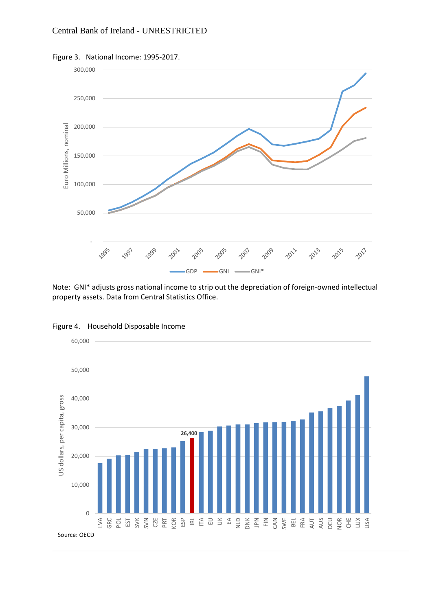



Note: GNI\* adjusts gross national income to strip out the depreciation of foreign-owned intellectual property assets. Data from Central Statistics Office.



Figure 4. Household Disposable Income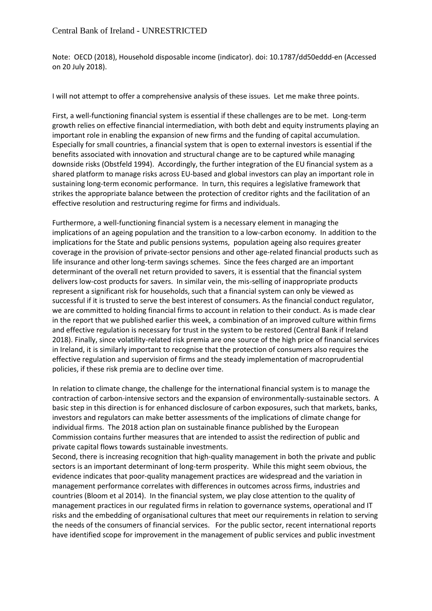Note: OECD (2018), Household disposable income (indicator). doi: 10.1787/dd50eddd-en (Accessed on 20 July 2018).

I will not attempt to offer a comprehensive analysis of these issues. Let me make three points.

First, a well-functioning financial system is essential if these challenges are to be met. Long-term growth relies on effective financial intermediation, with both debt and equity instruments playing an important role in enabling the expansion of new firms and the funding of capital accumulation. Especially for small countries, a financial system that is open to external investors is essential if the benefits associated with innovation and structural change are to be captured while managing downside risks (Obstfeld 1994). Accordingly, the further integration of the EU financial system as a shared platform to manage risks across EU-based and global investors can play an important role in sustaining long-term economic performance. In turn, this requires a legislative framework that strikes the appropriate balance between the protection of creditor rights and the facilitation of an effective resolution and restructuring regime for firms and individuals.

Furthermore, a well-functioning financial system is a necessary element in managing the implications of an ageing population and the transition to a low-carbon economy. In addition to the implications for the State and public pensions systems, population ageing also requires greater coverage in the provision of private-sector pensions and other age-related financial products such as life insurance and other long-term savings schemes. Since the fees charged are an important determinant of the overall net return provided to savers, it is essential that the financial system delivers low-cost products for savers. In similar vein, the mis-selling of inappropriate products represent a significant risk for households, such that a financial system can only be viewed as successful if it is trusted to serve the best interest of consumers. As the financial conduct regulator, we are committed to holding financial firms to account in relation to their conduct. As is made clear in the report that we published earlier this week, a combination of an improved culture within firms and effective regulation is necessary for trust in the system to be restored (Central Bank if Ireland 2018). Finally, since volatility-related risk premia are one source of the high price of financial services in Ireland, it is similarly important to recognise that the protection of consumers also requires the effective regulation and supervision of firms and the steady implementation of macroprudential policies, if these risk premia are to decline over time.

In relation to climate change, the challenge for the international financial system is to manage the contraction of carbon-intensive sectors and the expansion of environmentally-sustainable sectors. A basic step in this direction is for enhanced disclosure of carbon exposures, such that markets, banks, investors and regulators can make better assessments of the implications of climate change for individual firms. The 2018 action plan on sustainable finance published by the European Commission contains further measures that are intended to assist the redirection of public and private capital flows towards sustainable investments.

Second, there is increasing recognition that high-quality management in both the private and public sectors is an important determinant of long-term prosperity. While this might seem obvious, the evidence indicates that poor-quality management practices are widespread and the variation in management performance correlates with differences in outcomes across firms, industries and countries (Bloom et al 2014). In the financial system, we play close attention to the quality of management practices in our regulated firms in relation to governance systems, operational and IT risks and the embedding of organisational cultures that meet our requirements in relation to serving the needs of the consumers of financial services. For the public sector, recent international reports have identified scope for improvement in the management of public services and public investment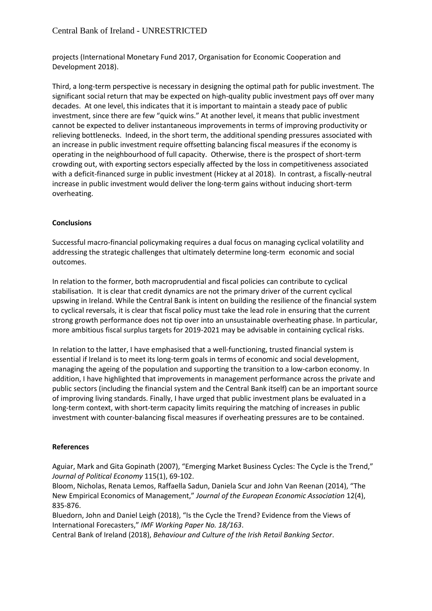projects (International Monetary Fund 2017, Organisation for Economic Cooperation and Development 2018).

Third, a long-term perspective is necessary in designing the optimal path for public investment. The significant social return that may be expected on high-quality public investment pays off over many decades. At one level, this indicates that it is important to maintain a steady pace of public investment, since there are few "quick wins." At another level, it means that public investment cannot be expected to deliver instantaneous improvements in terms of improving productivity or relieving bottlenecks. Indeed, in the short term, the additional spending pressures associated with an increase in public investment require offsetting balancing fiscal measures if the economy is operating in the neighbourhood of full capacity. Otherwise, there is the prospect of short-term crowding out, with exporting sectors especially affected by the loss in competitiveness associated with a deficit-financed surge in public investment (Hickey at al 2018). In contrast, a fiscally-neutral increase in public investment would deliver the long-term gains without inducing short-term overheating.

#### **Conclusions**

Successful macro-financial policymaking requires a dual focus on managing cyclical volatility and addressing the strategic challenges that ultimately determine long-term economic and social outcomes.

In relation to the former, both macroprudential and fiscal policies can contribute to cyclical stabilisation. It is clear that credit dynamics are not the primary driver of the current cyclical upswing in Ireland. While the Central Bank is intent on building the resilience of the financial system to cyclical reversals, it is clear that fiscal policy must take the lead role in ensuring that the current strong growth performance does not tip over into an unsustainable overheating phase. In particular, more ambitious fiscal surplus targets for 2019-2021 may be advisable in containing cyclical risks.

In relation to the latter, I have emphasised that a well-functioning, trusted financial system is essential if Ireland is to meet its long-term goals in terms of economic and social development, managing the ageing of the population and supporting the transition to a low-carbon economy. In addition, I have highlighted that improvements in management performance across the private and public sectors (including the financial system and the Central Bank itself) can be an important source of improving living standards. Finally, I have urged that public investment plans be evaluated in a long-term context, with short-term capacity limits requiring the matching of increases in public investment with counter-balancing fiscal measures if overheating pressures are to be contained.

#### **References**

Aguiar, Mark and Gita Gopinath (2007), "Emerging Market Business Cycles: The Cycle is the Trend," *Journal of Political Economy* 115(1), 69-102.

Bloom, Nicholas, Renata Lemos, Raffaella Sadun, Daniela Scur and John Van Reenan (2014), "The New Empirical Economics of Management," *Journal of the European Economic Association* 12(4), 835-876.

Bluedorn, John and Daniel Leigh (2018), "Is the Cycle the Trend? Evidence from the Views of International Forecasters," *IMF Working Paper No. 18/163*.

Central Bank of Ireland (2018), *Behaviour and Culture of the Irish Retail Banking Sector*.